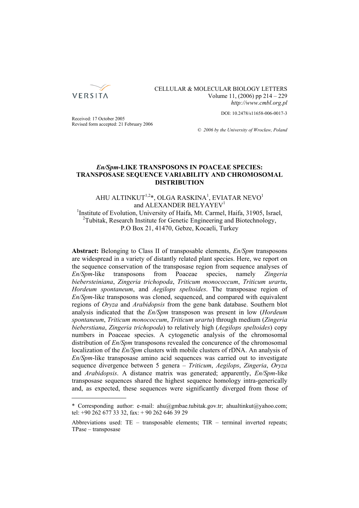

CELLULAR & MOLECULAR BIOLOGY LETTERS Volume 11, (2006) pp 214 – 229 *http://www.cmbl.org.pl*

DOI: 10.2478/s11658-006-0017-3

Received: 17 October 2005 Revised form accepted: 21 February 2006

*© 2006 by the University of Wrocław, Poland*

# *En/Spm***-LIKE TRANSPOSONS IN POACEAE SPECIES: TRANSPOSASE SEQUENCE VARIABILITY AND CHROMOSOMAL DISTRIBUTION**

# AHU ALTINKUT $^{1,2}$ \*, OLGA RASKINA $^{1}$ , EVIATAR NEVO $^{1}$ and ALEXANDER BELYAYEV<sup>1</sup> <sup>1</sup>Institute of Evolution, University of Haifa, Mt. Carmel, Haifa, 31905, Israel, <sup>2</sup>Tubitak, Research Institute for Genetic Engineering and Biotechnology, P.O Box 21, 41470, Gebze, Kocaeli, Turkey

**Abstract:** Belonging to Class II of transposable elements, *En/Spm* transposons are widespread in a variety of distantly related plant species. Here, we report on the sequence conservation of the transposase region from sequence analyses of *En/Spm*-like transposons from Poaceae species, namely *Zingeria biebersteiniana*, *Zingeria trichopoda*, *Triticum monococcum*, *Triticum urartu*, *Hordeum spontaneum*, and *Aegilops speltoides*. The transposase region of *En/Spm*-like transposons was cloned, sequenced, and compared with equivalent regions of *Oryza* and *Arabidopsis* from the gene bank database. Southern blot analysis indicated that the *En/Spm* transposon was present in low (*Hordeum spontaneum*, *Triticum monococcum*, *Triticum urartu*) through medium (*Zingeria bieberstiana*, *Zingeria trichopoda*) to relatively high (*Aegilops speltoides*) copy numbers in Poaceae species. A cytogenetic analysis of the chromosomal distribution of *En/Spm* transposons revealed the concurence of the chromosomal localization of the *En/Spm* clusters with mobile clusters of rDNA. An analysis of *En/Spm*-like transposase amino acid sequences was carried out to investigate sequence divergence between 5 genera – *Triticum*, *Aegilops*, *Zingeria*, *Oryza* and *Arabidopsis*. A distance matrix was generated; apparently, *En/Spm*-like transposase sequences shared the highest sequence homology intra-generically and, as expected, these sequences were significantly diverged from those of

<sup>\*</sup> Corresponding author: e-mail: ahu@gmbae.tubitak.gov.tr; ahualtinkut@yahoo.com; tel: +90 262 677 33 32, fax: + 90 262 646 39 29

Abbreviations used: TE – transposable elements; TIR – terminal inverted repeats; TPase – transposase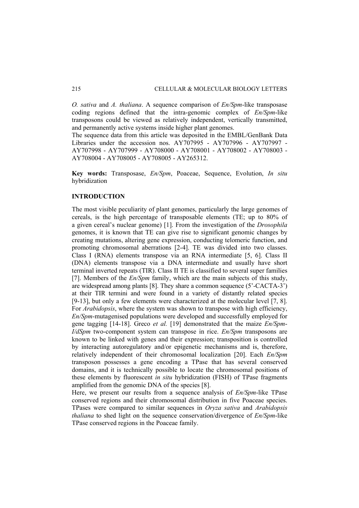*O. sativa* and *A. thaliana*. A sequence comparison of *En/Spm*-like transposase coding regions defined that the intra-genomic complex of *En/Spm*-like transposons could be viewed as relatively independent, vertically transmitted, and permanently active systems inside higher plant genomes.

The sequence data from this article was deposited in the EMBL/GenBank Data Libraries under the accession nos. AY707995 - AY707996 - AY707997 - AY707998 - AY707999 - AY708000 - AY708001 - AY708002 - AY708003 - AY708004 - AY708005 - AY708005 - AY265312.

**Key words:** Transposase, *En/Spm*, Poaceae, Sequence, Evolution, *In situ* hybridization

## **INTRODUCTION**

The most visible peculiarity of plant genomes, particularly the large genomes of cereals, is the high percentage of transposable elements (TE; up to 80% of a given cereal's nuclear genome) [1]. From the investigation of the *Drosophila* genomes, it is known that TE can give rise to significant genomic changes by creating mutations, altering gene expression, conducting telomeric function, and promoting chromosomal aberrations [2-4]. TE was divided into two classes. Class I (RNA) elements transpose via an RNA intermediate [5, 6]. Class II (DNA) elements transpose via a DNA intermediate and usually have short terminal inverted repeats (TIR). Class II TE is classified to several super families [7]. Members of the *En/Spm* family, which are the main subjects of this study, are widespread among plants [8]. They share a common sequence (5'-CACTA-3') at their TIR termini and were found in a variety of distantly related species [9-13], but only a few elements were characterized at the molecular level [7, 8]. For *Arabidopsis*, where the system was shown to transpose with high efficiency, *En/Spm*-mutagenised populations were developed and successfully employed for gene tagging [14-18]. Greco *et al.* [19] demonstrated that the maize *En/Spm*-*I/dSpm* two-component system can transpose in rice. *En/Spm* transposons are known to be linked with genes and their expression; transposition is controlled by interacting autoregulatory and/or epigenetic mechanisms and is, therefore, relatively independent of their chromosomal localization [20]. Each *En/Spm* transposon possesses a gene encoding a TPase that has several conserved domains, and it is technically possible to locate the chromosomal positions of these elements by fluorescent *in situ* hybridization (FISH) of TPase fragments amplified from the genomic DNA of the species [8].

Here, we present our results from a sequence analysis of *En/Spm*-like TPase conserved regions and their chromosomal distribution in five Poaceae species. TPases were compared to similar sequences in *Oryza sativa* and *Arabidopsis thaliana* to shed light on the sequence conservation/divergence of *En/Spm*-like TPase conserved regions in the Poaceae family.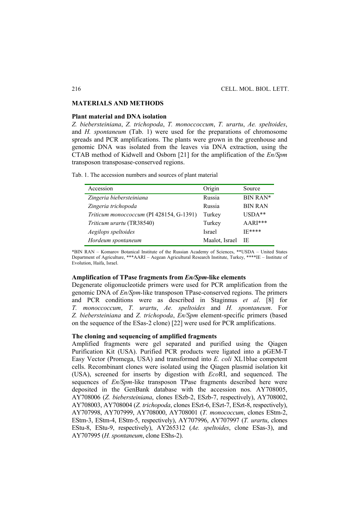#### **MATERIALS AND METHODS**

### **Plant material and DNA isolation**

*Z. biebersteiniana*, *Z. trichopoda*, *T. monoccoccum*, *T. urartu*, *Ae. speltoides*, and *H. spontaneum* (Tab. 1) were used for the preparations of chromosome spreads and PCR amplifications. The plants were grown in the greenhouse and genomic DNA was isolated from the leaves via DNA extraction, using the CTAB method of Kidwell and Osborn [21] for the amplification of the *En/Spm* transposon transposase-conserved regions.

Tab. 1. The accession numbers and sources of plant material

| Accession                                | Origin         | Source         |
|------------------------------------------|----------------|----------------|
| Zingeria biebersteiniana                 | Russia         | BIN RAN*       |
| Zingeria trichopoda                      | Russia         | <b>BIN RAN</b> |
| Triticum monoccoccum (PI 428154, G-1391) | Turkey         | $USDA**$       |
| Triticum urartu (TR38540)                | Turkey         | AARI***        |
| Aegilops speltoides                      | <b>Israel</b>  | $IF****$       |
| Hordeum spontaneum                       | Maalot, Israel | - IE           |

\*BIN RAN – Komarov Botanical Institute of the Russian Academy of Sciences, \*\*USDA – United States Department of Agriculture, \*\*\*AARI – Aegean Agricultural Research Institute, Turkey, \*\*\*\*IE – Institute of Evolution, Haifa, Israel.

#### **Amplification of TPase fragments from** *En/Spm***-like elements**

Degenerate oligonucleotide primers were used for PCR amplification from the genomic DNA of *En/Spm-*like transposon TPase-conserved regions. The primers and PCR conditions were as described in Staginnus *et al*. [8] for *T. monoccoccum*, *T. urartu*, *Ae. speltoides* and *H. spontaneum*. For *Z. biebersteiniana* and *Z. trichopoda*, *En/Spm* element-specific primers (based on the sequence of the ESas-2 clone) [22] were used for PCR amplifications.

# **The cloning and sequencing of amplified fragments**

Amplified fragments were gel separated and purified using the Qiagen Purification Kit (USA). Purified PCR products were ligated into a pGEM-T Easy Vector (Promega, USA) and transformed into *E. coli* XL1blue competent cells. Recombinant clones were isolated using the Qiagen plasmid isolation kit (USA), screened for inserts by digestion with *Eco*RI, and sequenced. The sequences of *En/Spm-*like transposon TPase fragments described here were deposited in the GenBank database with the accession nos. AY708005, AY708006 (*Z. biebersteiniana*, clones ESzb-2, ESzb-7, respectively), AY708002, AY708003, AY708004 (*Z. trichopoda*, clones ESzt-6, ESzt-7, ESzt-8, respectively), AY707998, AY707999, AY708000, AY708001 (*T. monococcum*, clones EStm-2, EStm-3, EStm-4, EStm-5, respectively), AY707996, AY707997 (*T. urartu*, clones EStu-8, EStu-9, respectively), AY265312 (*Ae. speltoides*, clone ESas-3), and AY707995 (*H. spontaneum*, clone EShs-2).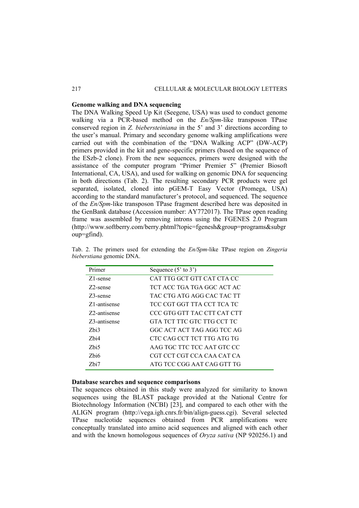## **Genome walking and DNA sequencing**

The DNA Walking Speed Up Kit (Seegene, USA) was used to conduct genome walking via a PCR-based method on the *En/Spm*-like transposon TPase conserved region in *Z. biebersteiniana* in the 5' and 3' directions according to the user's manual. Primary and secondary genome walking amplifications were carried out with the combination of the "DNA Walking ACP" (DW-ACP) primers provided in the kit and gene-specific primers (based on the sequence of the ESzb-2 clone). From the new sequences, primers were designed with the assistance of the computer program "Primer Premier 5" (Premier Biosoft International, CA, USA), and used for walking on genomic DNA for sequencing in both directions (Tab. 2). The resulting secondary PCR products were gel separated, isolated, cloned into pGEM-T Easy Vector (Promega, USA) according to the standard manufacturer's protocol, and sequenced. The sequence of the *En/Spm-*like transposon TPase fragment described here was deposited in the GenBank database (Accession number: AY772017). The TPase open reading frame was assembled by removing introns using the FGENES 2.0 Program (http://www.softberry.com/berry.phtml?topic=fgenesh&group=programs&subgr oup=gfind).

| Primer                    | Sequence $(5'$ to $3')$     |
|---------------------------|-----------------------------|
| Z1-sense                  | CAT TTG GCT GTT CAT CTA CC  |
| Z <sub>2</sub> -sense     | TCT ACC TGA TGA GGC ACT AC  |
| Z3-sense                  | TAC CTG ATG AGG CAC TAC TT  |
| Z <sub>1</sub> -antisense | TCC CGT GGT TTA CCT TCA TC  |
| Z <sub>2</sub> -antisense | CCC GTG GTT TAC CTT CAT CTT |
| Z3-antisense              | GTA TCT TTC GTC TTG CCT TC  |
| Zbi3                      | GGC ACT ACT TAG AGG TCC AG  |
| Zbi4                      | CTC CAG CCT TCT TTG ATG TG  |
| Zhi5                      | AAG TGC TTC TCC AAT GTC CC  |
| Zhi6                      | CGT CCT CGT CCA CAA CAT CA  |
| Zbi7                      | ATG TCC CGG AAT CAG GTT TG  |

Tab. 2. The primers used for extending the *En/Spm*-like TPase region on *Zingeria bieberstiana* genomic DNA.

# **Database searches and sequence comparisons**

The sequences obtained in this study were analyzed for similarity to known sequences using the BLAST package provided at the National Centre for Biotechnology Information (NCBI) [23], and compared to each other with the ALIGN program (http://vega.igh.cnrs.fr/bin/align-guess.cgi). Several selected TPase nucleotide sequences obtained from PCR amplifications were conceptually translated into amino acid sequences and aligned with each other and with the known homologous sequences of *Oryza sativa* (NP 920256.1) and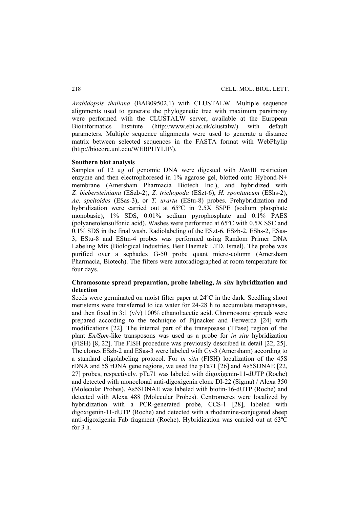*Arabidopsis thaliana* (BAB09502.1) with CLUSTALW. Multiple sequence alignments used to generate the phylogenetic tree with maximum parsimony were performed with the CLUSTALW server, available at the European Bioinformatics Institute (http://www.ebi.ac.uk/clustalw/) with default parameters. Multiple sequence alignments were used to generate a distance matrix between selected sequences in the FASTA format with WebPhylip (http://biocore.unl.edu/WEBPHYLIP/).

#### **Southern blot analysis**

Samples of 12 µg of genomic DNA were digested with *Hae*III restriction enzyme and then electrophoresed in 1% agarose gel, blotted onto Hybond-N+ membrane (Amersham Pharmacia Biotech Inc.), and hybridized with *Z. biebersteiniana* (ESzb-2), *Z. trichopoda* (ESzt-6), *H. spontaneum* (EShs-2), *Ae. speltoides* (ESas-3), or *T. urartu* (EStu-8) probes. Prehybridization and hybridization were carried out at 65°C in 2.5X SSPE (sodium phosphate monobasic), 1% SDS, 0.01% sodium pyrophosphate and 0.1% PAES (polyanetolensulfonic acid). Washes were performed at 65ºC with 0.5X SSC and 0.1% SDS in the final wash. Radiolabeling of the ESzt-6, ESzb-2, EShs-2, ESas-3, EStu-8 and EStm-4 probes was performed using Random Primer DNA Labeling Mix (Biological Industries, Beit Haemek LTD, Israel). The probe was purified over a sephadex G-50 probe quant micro-column (Amersham Pharmacia, Biotech). The filters were autoradiographed at room temperature for four days.

# **Chromosome spread preparation, probe labeling,** *in situ* **hybridization and detection**

Seeds were germinated on moist filter paper at 24ºC in the dark. Seedling shoot meristems were transferred to ice water for 24-28 h to accumulate metaphases, and then fixed in  $3:1$  (v/v) 100% ethanol: acetic acid. Chromosome spreads were prepared according to the technique of Pijnacker and Ferwerda [24] with modifications [22]. The internal part of the transposase (TPase) region of the plant *En/Spm*-like transposons was used as a probe for *in situ* hybridization (FISH) [8, 22]. The FISH procedure was previously described in detail [22, 25]. The clones ESzb-2 and ESas-3 were labeled with Cy-3 (Amersham) according to a standard oligolabeling protocol. For *in situ* (FISH) localization of the 45S rDNA and 5S rDNA gene regions, we used the pTa71 [26] and As5SDNAE [22, 27] probes, respectively. pTa71 was labeled with digoxigenin-11-dUTP (Roche) and detected with monoclonal anti-digoxigenin clone DI-22 (Sigma) / Alexa 350 (Molecular Probes). As5SDNAE was labeled with biotin-16-dUTP (Roche) and detected with Alexa 488 (Molecular Probes). Centromeres were localized by hybridization with a PCR-generated probe, CCS-1 [28], labeled with digoxigenin-11-dUTP (Roche) and detected with a rhodamine-conjugated sheep anti-digoxigenin Fab fragment (Roche). Hybridization was carried out at 63ºC for  $3<sub>h</sub>$ .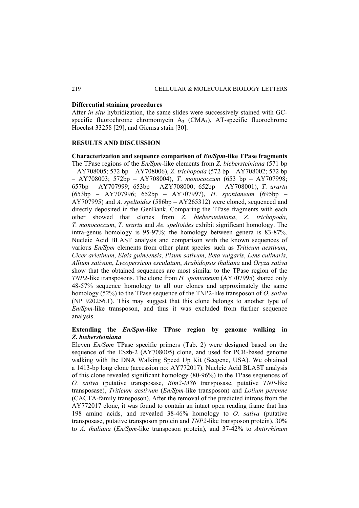## **Differential staining procedures**

After *in situ* hybridization, the same slides were successively stained with GCspecific fluorochrome chromomycin  $A_3$  (CMA<sub>3</sub>), AT-specific fluorochrome Hoechst 33258 [29], and Giemsa stain [30].

## **RESULTS AND DISCUSSION**

**Characterization and sequence comparison of** *En/Spm***-like TPase fragments**  The TPase regions of the *En/Spm*-like elements from *Z*. *biebersteiniana* (571 bp – AY708005; 572 bp – AY708006), *Z*. *trichopoda* (572 bp – AY708002; 572 bp – AY708003; 572bp – AY708004), *T*. *monococcum* (653 bp – AY707998; 657bp – AY707999; 653bp – AZY708000; 652bp – AY708001), *T*. *urartu*  (653bp – AY707996; 652bp – AY707997), *H*. *spontaneum* (695bp – AY707995) and *A*. *speltoides* (586bp – AY265312) were cloned, sequenced and directly deposited in the GenBank. Comparing the TPase fragments with each other showed that clones from *Z. biebersteiniana*, *Z. trichopoda*, *T. monococcum*, *T. urartu* and *Ae. speltoides* exhibit significant homology. The intra-genus homology is 95-97%; the homology between genera is 83-87%. Nucleic Acid BLAST analysis and comparison with the known sequences of various *En/Spm* elements from other plant species such as *Triticum aestivum*, *Cicer arietinum*, *Elais guineensis*, *Pisum sativum*, *Beta vulgaris*, *Lens culinaris*, *Allium sativum*, *Lycopersicon esculatum*, *Arabidopsis thaliana* and *Oryza sativa* show that the obtained sequences are most similar to the TPase region of the *TNP2*-like transposons. The clone from *H. spontaneum* (AY707995) shared only 48-57% sequence homology to all our clones and approximately the same homology (52%) to the TPase sequence of the TNP2-like transposon of *O. sativa*  (NP 920256.1). This may suggest that this clone belongs to another type of *En/Spm*-like transposon, and thus it was excluded from further sequence analysis.

# **Extending the** *En/Spm***-like TPase region by genome walking in**  *Z. biebersteiniana*

Eleven *En/Spm* TPase specific primers (Tab. 2) were designed based on the sequence of the ESzb-2 (AY708005) clone, and used for PCR-based genome walking with the DNA Walking Speed Up Kit (Seegene, USA). We obtained a 1413-bp long clone (accession no: AY772017). Nucleic Acid BLAST analysis of this clone revealed significant homology (80-96%) to the TPase sequences of *O. sativa* (putative transposase, *Rim2-M86* transposase, putative *TNP*-like transposase), *Triticum aestivum* (*En/Spm*-like transposon) and *Lolium perenne* (CACTA-family transposon). After the removal of the predicted introns from the AY772017 clone, it was found to contain an intact open reading frame that has 198 amino acids, and revealed 38-46% homology to *O. sativa* (putative transposase, putative transposon protein and *TNP2*-like transposon protein), 30% to *A. thaliana* (*En/Spm*-like transposon protein), and 37-42% to *Antirrhinum*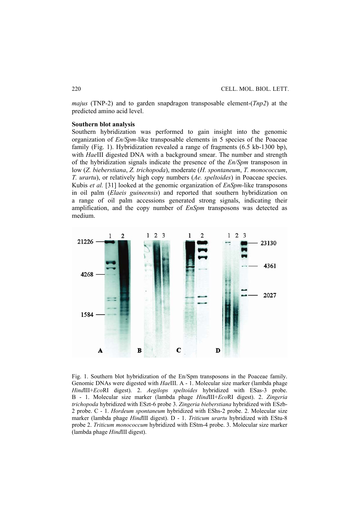*majus* (TNP-2) and to garden snapdragon transposable element-(*Tnp2*) at the predicted amino acid level.

### **Southern blot analysis**

Southern hybridization was performed to gain insight into the genomic organization of *En/Spm-*like transposable elements in 5 species of the Poaceae family (Fig. 1). Hybridization revealed a range of fragments (6.5 kb-1300 bp), with *Hae*III digested DNA with a background smear. The number and strength of the hybridization signals indicate the presence of the *En/Spm* transposon in low (*Z. bieberstiana*, *Z. trichopoda*), moderate (*H. spontaneum*, *T. monococcum*, *T. urartu*), or relatively high copy numbers (*Ae. speltoides*) in Poaceae species. Kubis *et al.* [31] looked at the genomic organization of *EnSpm-*like transposons in oil palm (*Elaeis guineensis*) and reported that southern hybridization on a range of oil palm accessions generated strong signals, indicating their amplification, and the copy number of *EnSpm* transposons was detected as medium.



Fig. 1. Southern blot hybridization of the En/Spm transposons in the Poaceae family. Genomic DNAs were digested with *Hae*III. A - 1. Molecular size marker (lambda phage *Hind*III+*Eco*RI digest). 2. *Aegilops speltoides* hybridized with ESas-3 probe. B - 1. Molecular size marker (lambda phage *Hind*III+*Eco*RI digest). 2. *Zingeria trichopoda* hybridized with ESzt-6 probe 3. *Zingeria bieberstiana* hybridized with ESzb-2 probe. C - 1. *Hordeum spontaneum* hybridized with EShs-2 probe. 2. Molecular size marker (lambda phage *Hind*III digest). D - 1. *Triticum urartu* hybridized with EStu-8 probe 2. *Triticum monococcum* hybridized with EStm-4 probe. 3. Molecular size marker (lambda phage *Hind*III digest).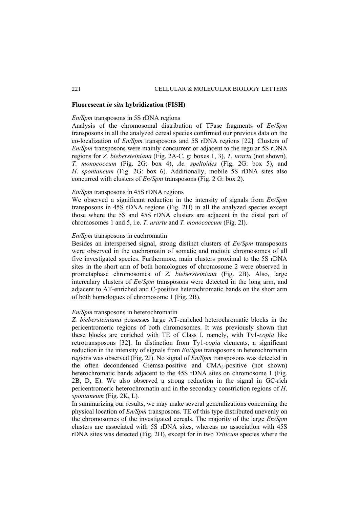## **Fluorescent** *in situ* **hybridization (FISH)**

#### *En/Spm* transposons in 5S rDNA regions

Analysis of the chromosomal distribution of TPase fragments of *En/Spm* transposons in all the analyzed cereal species confirmed our previous data on the co-localization of *En/Spm* transposons and 5S rDNA regions [22]. Clusters of *En/Spm* transposons were mainly concurrent or adjacent to the regular 5S rDNA regions for *Z. biebersteiniana* (Fig. 2A-C, g: boxes 1, 3), *T. urartu* (not shown)*, T. monococcum* (Fig. 2G: box 4), *Ae. speltoides* (Fig. 2G: box 5), and *H*. *spontaneum* (Fig. 2G: box 6). Additionally, mobile 5S rDNA sites also concurred with clusters of *En/Spm* transposons (Fig. 2 G: box 2).

## *En/Spm* transposons in 45S rDNA regions

We observed a significant reduction in the intensity of signals from *En/Spm* transposons in 45S rDNA regions (Fig. 2H) in all the analyzed species except those where the 5S and 45S rDNA clusters are adjacent in the distal part of chromosomes 1 and 5, i.e. *T. urartu* and *T. monococcum* (Fig. 2I).

# *En/Spm* transposons in euchromatin

Besides an interspersed signal, strong distinct clusters of *En/Spm* transposons were observed in the euchromatin of somatic and meiotic chromosomes of all five investigated species. Furthermore, main clusters proximal to the 5S rDNA sites in the short arm of both homologues of chromosome 2 were observed in prometaphase chromosomes of *Z. biebersteiniana* (Fig. 2B). Also, large intercalary clusters of *En/Spm* transposons were detected in the long arm, and adjacent to AT-enriched and C-positive heterochromatic bands on the short arm of both homologues of chromosome 1 (Fig. 2B).

#### *En/Spm* transposons in heterochromatin

*Z. biebersteiniana* possesses large AT-enriched heterochromatic blocks in the pericentromeric regions of both chromosomes. It was previously shown that these blocks are enriched with TE of Class I, namely, with Ty1-*copia* like retrotransposons [32]. In distinction from Ty1-*copia* elements, a significant reduction in the intensity of signals from *En/Spm* transposons in heterochromatin regions was observed (Fig. 2J). No signal of *En/Spm* transposons was detected in the often decondensed Giemsa-positive and CMA3-positive (not shown) heterochromatic bands adjacent to the 45S rDNA sites on chromosome 1 (Fig. 2B, D, E). We also observed a strong reduction in the signal in GC-rich pericentromeric heterochromatin and in the secondary constriction regions of *H*. *spontaneum* (Fig. 2K, L)*.*

In summarizing our results, we may make several generalizations concerning the physical location of *En/Spm* transposons. TE of this type distributed unevenly on the chromosomes of the investigated cereals. The majority of the large *En/Spm* clusters are associated with 5S rDNA sites, whereas no association with 45S rDNA sites was detected (Fig. 2H), except for in two *Triticum* species where the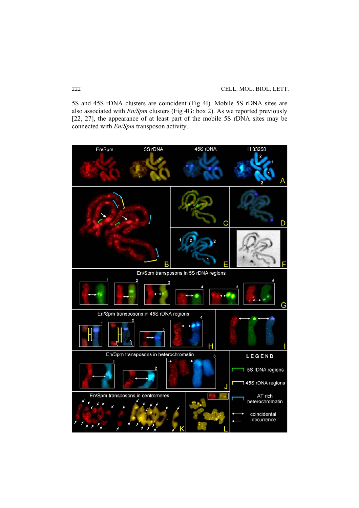5S and 45S rDNA clusters are coincident (Fig 4I). Mobile 5S rDNA sites are also associated with *En/Spm* clusters (Fig 4G: box 2). As we reported previously [22, 27], the appearance of at least part of the mobile 5S rDNA sites may be connected with *En/Spm* transposon activity.

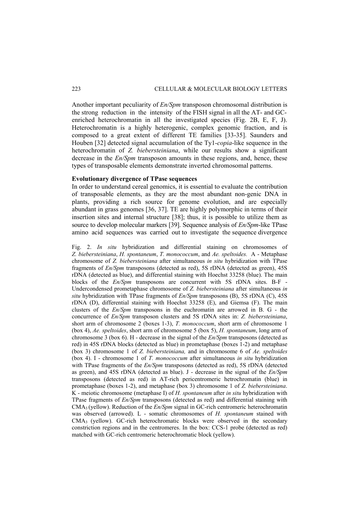Another important peculiarity of *En/Spm* transposon chromosomal distribution is the strong reduction in the intensity of the FISH signal in all the AT- and GCenriched heterochromatin in all the investigated species (Fig. 2B, E, F, J). Heterochromatin is a highly heterogenic, complex genomic fraction, and is composed to a great extent of different TE families [33-35]. Saunders and Houben [32] detected signal accumulation of the Ty1-*copia*-like sequence in the heterochromatin of *Z. biebersteiniana*, while our results show a significant decrease in the *En/Spm* transposon amounts in these regions, and, hence, these types of transposable elements demonstrate inverted chromosomal patterns.

#### **Evolutionary divergence of TPase sequences**

In order to understand cereal genomics, it is essential to evaluate the contribution of transposable elements, as they are the most abundant non-genic DNA in plants, providing a rich source for genome evolution, and are especially abundant in grass genomes [36, 37]. TE are highly polymorphic in terms of their insertion sites and internal structure [38]; thus, it is possible to utilize them as source to develop molecular markers [39]. Sequence analysis of *En/Spm*-like TPase amino acid sequences was carried out to investigate the sequence divergence

Fig. 2. *In situ* hybridization and differential staining on chromosomes of *Z. biebersteiniana*, *H. spontaneum*, *T. monococcum*, and *Ae. speltoides.* A - Metaphase chromosome of *Z. biebersteiniana* after simultaneous *in situ* hybridization with TPase fragments of *En/Spm* transposons (detected as red), 5S rDNA (detected as green), 45S rDNA (detected as blue), and differential staining with Hoechst 33258 (blue). The main blocks of the *En/Spm* transposons are concurrent with 5S rDNA sites. B-F - Undercondensed prometaphase chromosome of *Z. biebersteiniana* after simultaneous *in situ* hybridization with TPase fragments of *En/Spm* transposons (B), 5S rDNA (C), 45S rDNA (D), differential staining with Hoechst 33258 (E), and Giemsa (F). The main clusters of the *En/Spm* transposons in the euchromatin are arrowed in B. G - the concurrence of *En/Spm* transposon clusters and 5S rDNA sites in: *Z. biebersteiniana*, short arm of chromosome 2 (boxes 1-3), *T. monococcum*, short arm of chromosome 1 (box 4), *Ae. speltoides*, short arm of chromosome 5 (box 5), *H. spontaneum*, long arm of chromosome 3 (box 6). H - decrease in the signal of the *En/Spm* transposons (detected as red) in 45S rDNA blocks (detected as blue) in prometaphase (boxes 1-2) and metaphase (box 3) chromosome 1 of *Z. biebersteiniana,* and in chromosome 6 of *Ae. speltoides*  (box 4). I - chromosome 1 of *T. monococcum* after simultaneous *in situ* hybridization with TPase fragments of the *En/Spm* transposons (detected as red), 5S rDNA (detected as green), and 45S rDNA (detected as blue). J - decrease in the signal of the *En/Spm* transposons (detected as red) in AT-rich pericentromeric hetrochromatin (blue) in prometaphase (boxes 1-2), and metaphase (box 3) chromosome 1 of *Z. biebersteiniana*. K - meiotic chromosome (metaphase I) of *H. spontaneum* after *in situ* hybridization with TPase fragments of *En/Spm* transposons (detected as red) and differential staining with CMA3 (yellow). Reduction of the *En/Spm* signal in GC-rich centromeric heterochromatin was observed (arrowed). L - somatic chromosomes of *H. spontaneum* stained with CMA3 (yellow). GC-rich heterochromatic blocks were observed in the secondary constriction regions and in the centromeres. In the box: CCS-1 probe (detected as red) matched with GC-rich centromeric heterochromatic block (yellow).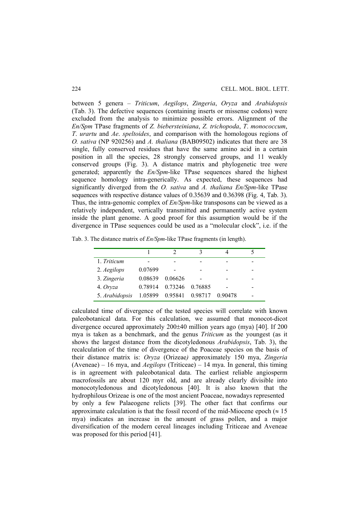between 5 genera – *Triticum*, *Aegilops*, *Zingeria*, *Oryza* and *Arabidopsis*  (Tab. 3). The defective sequences (containing inserts or missense codons) were excluded from the analysis to minimize possible errors. Alignment of the *En/Spm* TPase fragments of *Z. biebersteiniana*, *Z. trichopoda*, *T*. *monococcum*, *T*. *urartu* and *Ae*. *speltoides*, and comparison with the homologous regions of *O. sativa* (NP 920256) and *A. thaliana* (BAB09502) indicates that there are 38 single, fully conserved residues that have the same amino acid in a certain position in all the species, 28 strongly conserved groups, and 11 weakly conserved groups (Fig. 3). A distance matrix and phylogenetic tree were generated; apparently the *En/Spm*-like TPase sequences shared the highest sequence homology intra-generically. As expected, these sequences had significantly diverged from the *O. sativa* and *A. thaliana En/Spm*-like TPase sequences with respective distance values of 0.35639 and 0.36398 (Fig. 4, Tab. 3). Thus, the intra-genomic complex of *En/Spm*-like transposons can be viewed as a relatively independent, vertically transmitted and permanently active system inside the plant genome. A good proof for this assumption would be if the divergence in TPase sequences could be used as a "molecular clock", i.e. if the

|  |  |  |  | Tab. 3. The distance matrix of $En/Spm$ -like TPase fragments (in length). |  |  |
|--|--|--|--|----------------------------------------------------------------------------|--|--|
|  |  |  |  |                                                                            |  |  |

| 1. Triticum    |             |         |         |         |  |
|----------------|-------------|---------|---------|---------|--|
| 2. Aegilops    | 0.07699     |         |         |         |  |
| 3. Zingeria    | 0.08639     | 0.06626 |         |         |  |
| 4. Oryza       | 0 7 8 9 1 4 | 0.73246 | 0.76885 |         |  |
| 5. Arabidopsis | 1.05899     | 0.95841 | 0.98717 | 0.90478 |  |

calculated time of divergence of the tested species will correlate with known paleobotanical data. For this calculation, we assumed that monocot-dicot divergence occured approximately 200±40 million years ago (mya) [40]. If 200 mya is taken as a benchmark, and the genus *Triticum* as the youngest (as it shows the largest distance from the dicotyledonous *Arabidopsis*, Tab. 3), the recalculation of the time of divergence of the Poaceae species on the basis of their distance matrix is: *Oryza* (Orizeae*)* approximately 150 mya, *Zingeria*  (Aveneae) – 16 mya, and *Aegilops* (Triticeae) – 14 mya. In general, this timing is in agreement with paleobotanical data. The earliest reliable angiosperm macrofossils are about 120 myr old, and are already clearly divisible into monocotyledonous and dicotyledonous [40]. It is also known that the hydrophilous Orizeae is one of the most ancient Poaceae, nowadays represented by only a few Palaeogene relicts [39]. The other fact that confirms our approximate calculation is that the fossil record of the mid-Miocene epoch ( $\approx 15$ ) mya) indicates an increase in the amount of grass pollen, and a major diversification of the modern cereal lineages including Triticeae and Aveneae was proposed for this period [41].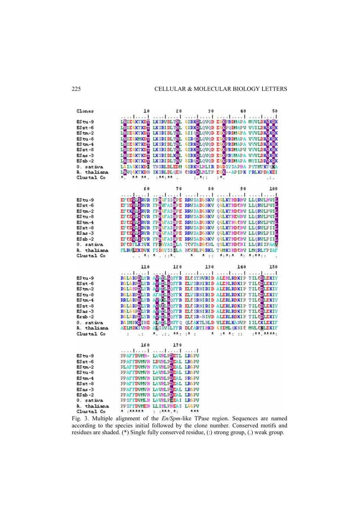$C1$ cmes  $20$  $10$  $\hat{y}$  0  $40$ 50  $.1...1$ -1  $.1.1$  $\ddotsc$  $\cdot$ <sub>1</sub>  $\cdot$ I  $\cdot$  1  $\mathbf{I}$  $85 - 9$ LEIE WINDE LK SEVEL THE **GIRKOLQVQD EGKPRIMAPA MYVLDKOKEK** DIESTROP INSELERIE GEROLOGO ESSERINAR NYILDSON DIESTROP INSELECTION (HEOLOGO ESSERINGAR VYILDSON)<br>DIESTROP INSELERIE GILOGO ESSERINGAR VYILDSON<br>DIESTROP INSELERIE GEROLOGO ESSERINGAR VYILDSON<br>DIESTROP INSELERIE GEROLOGO ES  $ESst-6$  $RS + m - 2$  $ES_{t-3}$  $ES$ tm-4  $5s$ st-8  $RS_{AB} - 3$  $ES<sub>ab-2</sub>$ LOIAGESKDE TREELDLEDM GIRKHLHLIR DODSVSAPHA PYTMTKTOKA 0. sativa LEWQUENTEDE IKSRLDLQEN CEREDLHLTP EUN--APIPK FRLKPDAKEI A thalisma Clustal Co \*\* \*\*.  $:$  \*\*: \*\* .  $1.711$  $:$   $*$ .  $.1.$  $70$ 60 80 90 100 ELECTRICAL MARIE ENVIRONMENT LORENTING  $85 - 9$  $5s$ st-6 EUROPEAN PERSON NEWSFILM CENTROLN DENTIFY  $RS + m - 2$  $ES_{t-3}$  $ES \text{tm-4}$ EN CHARGE PRESSURE REVEALED QUARTED IN LORDENT DE CHARGES POLITICAL CONTROLLOR CONTROLLOR CONTROLLOR  $8 - \pi$  $8Sas -3$  $RSab - 2$ DECDFLKSVK FPNGYASRLA TCVTADGCNL QGLKTHDCHI LLQRIIPAAV  $0.$  sativa A. thaliana FLEMEEKDVK FSDGYSSSLA NCVDLPGEKL TGMKSHDCHV LMQRLFPIAF  $...$   $A:$   $A...$   $...$   $A...$  $A_{11}$   $A_1A_2A_3$ Clustal Co  $\star$  $A_1, A_2, A_3, A_4$  $110$  $120$  $130$ 140 150 . . . . . . . 1  $1...1$ . . . 1 . . . . 1 . 1  $......$ RELEGIEVE SOSPICOTTE ELESTIWED ALEMENTE TILCOLEXIY RELEGIEVE SOSPICOTTE ELESENHED ALEMENTE TILCOLEXIY RELEGIEVE SOSPICOTTE ELESENHED ALEMENTE TILCOLEXIY RELEGIEVE STARLEGITE ELESENHED ALEMENTE TILCOLEXIY RELEGIEVE SOSTIGOT  $85 - 9$  $RS<sub>xt</sub> - 6$  $RS + m - 2$  $ES_{tu-8}$  $ES$  tm-4 RELEVIEVE SOSKIGGITE ELESRIEID ALERIENNIP TILCHERIY<br>RELEVIEVE SOSEIGGITE ELESRIEID ALERIENNIP TILCHERIY<br>RELEVIEVE SOSEIGGITE ELESRIEID ALERIENNIP TILCHERIY<br>RELEVIEVE SOSEIGGITE ELESRIEID ALERIENNIP TILCHERIY<br>RELEVIEVE ALSE  $ES<sub>st-8</sub>$  $ESas -3$  $s$ sab-2 0. sativa A. thaliana Clustal Co  $A_1$  .:.  $AA_1$  :  $A_2$  :  $A_{1}$   $A_{2}$   $A_{3}$   $B_{4}$   $B_{5}$ : \*\* . \*\*\*\* :  $\cdot$  $\dddot{\phantom{0}}$ 160 170  $...$   $1...$   $1...$ . . . . 1 . . . . 1  $85 - 9$ PPAFFDWMH- LAVELFORTL LRGFV PPATTIGGGH LIGHLPDEAL LRGFG  $ESst-6$ PLAFITOWNH FAVHLFUEAL LRUPV  $ES$ tm- $2$ PPAFITOMON LAVMLPDEAL LRGFO<br>PPAFITOMON LOVMLPDEAL PRGFO  $ES_{tu-8}$  $RS$  tm-4 PPAPIDOMOH LAVHLPOEAL LRGPO  $ES$   $x$ t -8 PPAFFIONON LAVALPO<mark>EAL LRGFO</mark><br>PPAFFIONON LAVALPOEAL LRGFO  $8s$ as -3  $ES<sub>mb</sub> - 2$ PPSFIDUMLH LAVHLPEEAI LRGPV 0. sativa A. thaliana PPSFILWMEH LLIMLPHEAS LGGPV Clustal Co \* \*\*\*\*\*  $:$  : \*\*\*. \*: \*\*\*

Fig. 3. Multiple alignment of the *En/Spm*-like TPase region. Sequences are named according to the species initial followed by the clone number. Conserved motifs and residues are shaded. (\*) Single fully conserved residue, (:) strong group, (.) weak group.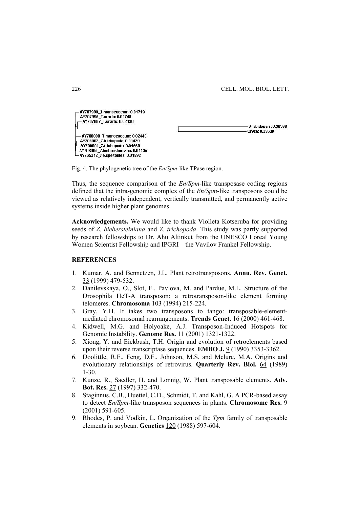

Fig. 4. The phylogenetic tree of the *En/Spm*-like TPase region.

Thus, the sequence comparison of the *En/Spm*-like transposase coding regions defined that the intra-genomic complex of the *En/Spm*-like transposons could be viewed as relatively independent, vertically transmitted, and permanently active systems inside higher plant genomes.

**Acknowledgements.** We would like to thank Violleta Kotseruba for providing seeds of *Z. biebersteiniana* and *Z. trichopoda*. This study was partly supported by research fellowships to Dr. Ahu Altinkut from the UNESCO Loreal Young Women Scientist Fellowship and IPGRI – the Vavilov Frankel Fellowship.

# **REFERENCES**

- 1. Kumar, A. and Bennetzen, J.L. Plant retrotransposons. **Annu. Rev. Genet.** 33 (1999) 479-532.
- 2. Danilevskaya, O., Slot, F., Pavlova, M. and Pardue, M.L. Structure of the Drosophila HeT-A transposon: a retrotransposon-like element forming telomeres. **Chromosoma** 103 (1994) 215-224.
- 3. Gray, Y.H. It takes two transposons to tango: transposable-elementmediated chromosomal rearrangements. **Trends Genet.** 16 (2000) 461-468.
- 4. Kidwell, M.G. and Holyoake, A.J. Transposon-Induced Hotspots for Genomic Instability. **Genome Res.** 11 (2001) 1321-1322.
- 5. Xiong, Y. and Eickbush, T.H. Origin and evolution of retroelements based upon their reverse transcriptase sequences. **EMBO J.** 9 (1990) 3353-3362.
- 6. Doolittle, R.F., Feng, D.F., Johnson, M.S. and Mclure, M.A. Origins and evolutionary relationships of retrovirus. **Quarterly Rev. Biol.** 64 (1989) 1-30.
- 7. Kunze, R., Saedler, H. and Lonnig, W. Plant transposable elements. **Adv. Bot. Res.** 27 (1997) 332-470.
- 8. Staginnus, C.B., Huettel, C.D., Schmidt, T. and Kahl, G. A PCR-based assay to detect *En/Spm*-like transposon sequences in plants. **Chromosome Res.** 9 (2001) 591-605.
- 9. Rhodes, P. and Vodkin, L. Organization of the *Tgm* family of transposable elements in soybean. **Genetics** 120 (1988) 597-604.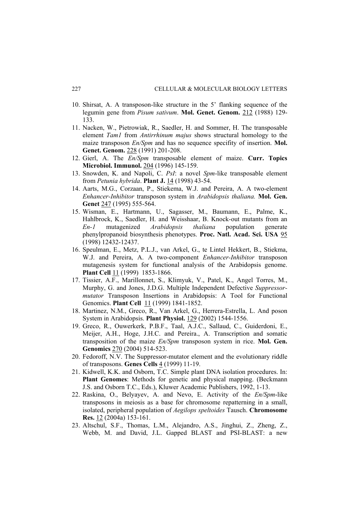- 10. Shirsat, A. A transposon-like structure in the 5' flanking sequence of the legumin gene from *Pisum sativum*. **Mol. Genet. Genom.** 212 (1988) 129- 133.
- 11. Nacken, W., Pietrowiak, R., Saedler, H. and Sommer, H. The transposable element *Tam1* from *Antirrhinum majus* shows structural homology to the maize transposon *En/Spm* and has no sequence specifity of insertion. **Mol. Genet. Genom.** 228 (1991) 201-208.
- 12. Gierl, A. The *En/Spm* transposable element of maize. **Curr. Topics Microbiol. Immunol.** 204 (1996) 145-159.
- 13. Snowden, K. and Napoli, C. *PsI*: a novel *Spm*-like transposable element from *Petunia hybrida*. **Plant J.** 14 (1998) 43-54.
- 14. Aarts, M.G., Corzaan, P., Stiekema, W.J. and Pereira, A. A two-element *Enhancer-Inhibitor* transposon system in *Arabidopsis thaliana.* **Mol. Gen. Genet** 247 (1995) 555-564.
- 15. Wisman, E., Hartmann, U., Sagasser, M., Baumann, E., Palme, K., Hahlbrock, K., Saedler, H. and Weisshaar, B. Knock-out mutants from an *En-1* mutagenized *Arabidopsis thaliana* population generate phenylpropanoid biosynthesis phenotypes. **Proc. Natl. Acad. Sci. USA** 95 (1998) 12432-12437.
- 16. Speulman, E., Metz, P.L.J., van Arkel, G., te Lintel Hekkert, B., Stiekma, W.J. and Pereira, A. A two-component *Enhancer-Inhibitor* transposon mutagenesis system for functional analysis of the Arabidopsis genome. **Plant Cell** 11 (1999) 1853-1866.
- 17. Tissier, A.F., Marillonnet, S., Klimyuk, V., Patel, K., Angel Torres, M., Murphy, G. and Jones, J.D.G. Multiple Independent Defective *Suppressormutator* Transposon Insertions in Arabidopsis: A Tool for Functional Genomics. **Plant Cell** 11 (1999) 1841-1852.
- 18. Martinez, N.M., Greco, R., Van Arkel, G., Herrera-Estrella, L. And poson System in Arabidopsis. **Plant Physiol.** 129 (2002) 1544-1556.
- 19. Greco, R., Ouwerkerk, P.B.F., Taal, A.J.C., Sallaud, C., Guiderdoni, E., Meijer, A.H., Hoge, J.H.C. and Pereira., A. Transcription and somatic transposition of the maize *En/Spm* transposon system in rice. **Mol. Gen. Genomics** 270 (2004) 514-523.
- 20. Fedoroff, N.V. The Suppressor-mutator element and the evolutionary riddle of transposons. **Genes Cells** 4 (1999) 11-19.
- 21. Kidwell, K.K. and Osborn, T.C. Simple plant DNA isolation procedures. In: **Plant Genomes**: Methods for genetic and physical mapping. (Beckmann J.S. and Osborn T.C., Eds.), Kluwer Academic Publishers, 1992, 1-13.
- 22. Raskina, O., Belyayev, A. and Nevo, E. Activity of the *En/Spm*-like transposons in meiosis as a base for chromosome repatterning in a small, isolated, peripheral population of *Aegilops speltoides* Tausch. **Chromosome Res.** 12 (2004a) 153-161.
- 23. Altschul, S.F., Thomas, L.M., Alejandro, A.S., Jinghui, Z., Zheng, Z., Webb, M. and David, J.L. Gapped BLAST and PSI-BLAST: a new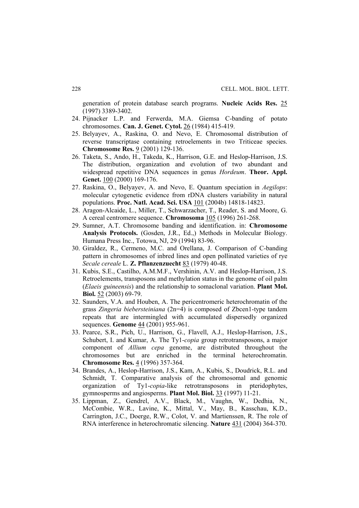generation of protein database search programs. **Nucleic Acids Res.** 25 (1997) 3389-3402.

- 24. Pijnacker L.P. and Ferwerda, M.A. Giemsa C-banding of potato chromosomes. **Can. J. Genet. Cytol.** 26 (1984) 415-419.
- 25. Belyayev, A., Raskina, O. and Nevo, E. Chromosomal distribution of reverse transcriptase containing retroelements in two Triticeae species. **Chromosome Res.** 9 (2001) 129-136.
- 26. Taketa, S., Ando, H., Takeda, K., Harrison, G.E. and Heslop-Harrison, J.S. The distribution, organization and evolution of two abundant and widespread repetitive DNA sequences in genus *Hordeum*. **Theor. Appl. Genet.** 100 (2000) 169-176.
- 27. Raskina, O., Belyayev, A. and Nevo, E. Quantum speciation in *Aegilops*: molecular cytogenetic evidence from rDNA clusters variability in natural populations. **Proc. Natl. Acad. Sci. USA** 101 (2004b) 14818-14823.
- 28. Aragon-Alcaide, L., Miller, T., Schwarzacher, T., Reader, S. and Moore, G. A cereal centromere sequence. **Chromosoma** 105 (1996) 261-268.
- 29. Sumner, A.T. Chromosome banding and identification. in: **Chromosome Analysis Protocols.** (Gosden, J.R., Ed.,) Methods in Molecular Biology. Humana Press Inc., Totowa, NJ, 29 (1994) 83-96.
- 30. Giraldez, R., Cermeno, M.C. and Orellana, J. Comparison of C-banding pattern in chromosomes of inbred lines and open pollinated varieties of rye *Secale cereale* L. **Z. Pflanzenzuecht** 83 (1979) 40-48.
- 31. Kubis, S.E., Castilho, A.M.M.F., Vershinin, A.V. and Heslop-Harrison, J.S. Retroelements, transposons and methylation status in the genome of oil palm (*Elaeis guineensis*) and the relationship to somaclonal variation. **Plant Mol. Biol.** 52 (2003) 69-79.
- 32. Saunders, V.A. and Houben, A. The pericentromeric heterochromatin of the grass *Zingeria biebersteiniana* (2n=4) is composed of Zbcen1-type tandem repeats that are intermingled with accumulated dispersedly organized sequences. **Genome** 44 (2001) 955-961.
- 33. Pearce, S.R., Pich, U., Harrison, G., Flavell, A.J., Heslop-Harrison, J.S., Schubert, I. and Kumar, A. The Ty1-*copia* group retrotransposons, a major component of *Allium cepa* genome, are distributed throughout the chromosomes but are enriched in the terminal heterochromatin. **Chromosome Res.** 4 (1996) 357-364.
- 34. Brandes, A., Heslop-Harrison, J.S., Kam, A., Kubis, S., Doudrick, R.L. and Schmidt, T. Comparative analysis of the chromosomal and genomic organization of Ty1-*copia*-like retrotransposons in pteridophytes, gymnosperms and angiosperms. **Plant Mol. Biol.** 33 (1997) 11-21.
- 35. Lippman, Z., Gendrel, A.V., Black, M., Vaughn, W., Dedhia, N., McCombie, W.R., Lavine, K., Mittal, V., May, B., Kasschau, K.D., Carrington, J.C., Doerge, R.W., Colot, V. and Martienssen, R. The role of RNA interference in heterochromatic silencing. **Nature** 431 (2004) 364-370.